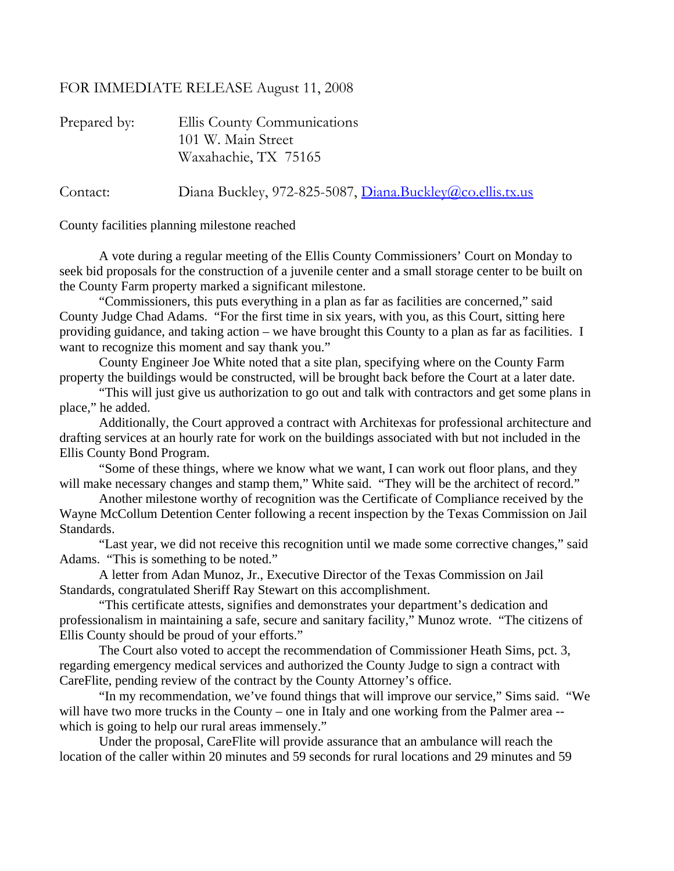## FOR IMMEDIATE RELEASE August 11, 2008

| Prepared by: | Ellis County Communications                               |
|--------------|-----------------------------------------------------------|
|              | 101 W. Main Street                                        |
|              | Waxahachie, TX 75165                                      |
| Contact:     | Diana Buckley, 972-825-5087, Diana.Buckley@co.ellis.tx.us |

County facilities planning milestone reached

 A vote during a regular meeting of the Ellis County Commissioners' Court on Monday to seek bid proposals for the construction of a juvenile center and a small storage center to be built on the County Farm property marked a significant milestone.

 "Commissioners, this puts everything in a plan as far as facilities are concerned," said County Judge Chad Adams. "For the first time in six years, with you, as this Court, sitting here providing guidance, and taking action – we have brought this County to a plan as far as facilities. I want to recognize this moment and say thank you."

 County Engineer Joe White noted that a site plan, specifying where on the County Farm property the buildings would be constructed, will be brought back before the Court at a later date.

 "This will just give us authorization to go out and talk with contractors and get some plans in place," he added.

 Additionally, the Court approved a contract with Architexas for professional architecture and drafting services at an hourly rate for work on the buildings associated with but not included in the Ellis County Bond Program.

 "Some of these things, where we know what we want, I can work out floor plans, and they will make necessary changes and stamp them," White said. "They will be the architect of record."

 Another milestone worthy of recognition was the Certificate of Compliance received by the Wayne McCollum Detention Center following a recent inspection by the Texas Commission on Jail Standards.

 "Last year, we did not receive this recognition until we made some corrective changes," said Adams. "This is something to be noted."

 A letter from Adan Munoz, Jr., Executive Director of the Texas Commission on Jail Standards, congratulated Sheriff Ray Stewart on this accomplishment.

 "This certificate attests, signifies and demonstrates your department's dedication and professionalism in maintaining a safe, secure and sanitary facility," Munoz wrote. "The citizens of Ellis County should be proud of your efforts."

 The Court also voted to accept the recommendation of Commissioner Heath Sims, pct. 3, regarding emergency medical services and authorized the County Judge to sign a contract with CareFlite, pending review of the contract by the County Attorney's office.

 "In my recommendation, we've found things that will improve our service," Sims said. "We will have two more trucks in the County – one in Italy and one working from the Palmer area -which is going to help our rural areas immensely."

 Under the proposal, CareFlite will provide assurance that an ambulance will reach the location of the caller within 20 minutes and 59 seconds for rural locations and 29 minutes and 59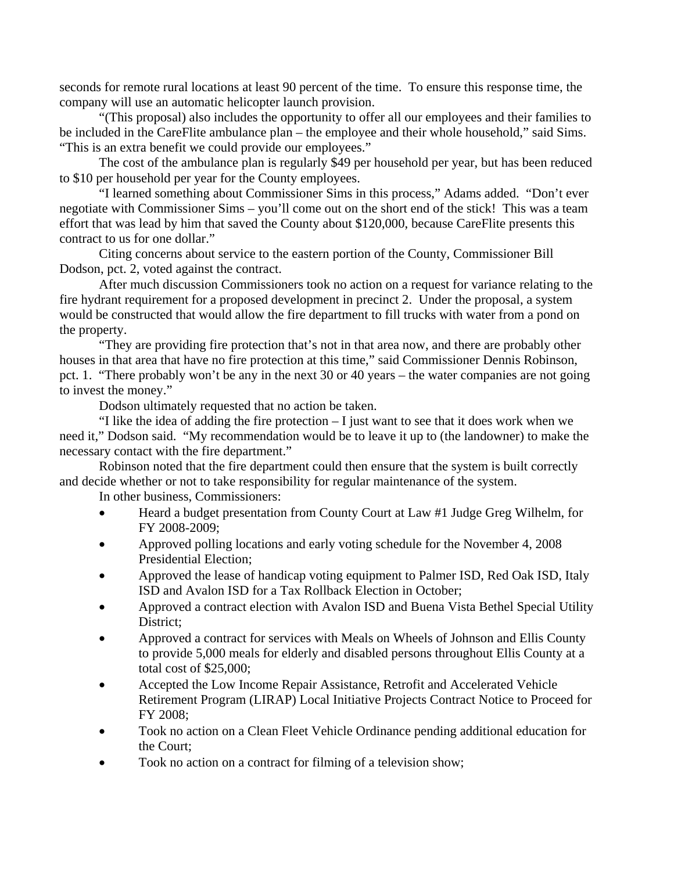seconds for remote rural locations at least 90 percent of the time. To ensure this response time, the company will use an automatic helicopter launch provision.

 "(This proposal) also includes the opportunity to offer all our employees and their families to be included in the CareFlite ambulance plan – the employee and their whole household," said Sims. "This is an extra benefit we could provide our employees."

 The cost of the ambulance plan is regularly \$49 per household per year, but has been reduced to \$10 per household per year for the County employees.

 "I learned something about Commissioner Sims in this process," Adams added. "Don't ever negotiate with Commissioner Sims – you'll come out on the short end of the stick! This was a team effort that was lead by him that saved the County about \$120,000, because CareFlite presents this contract to us for one dollar."

 Citing concerns about service to the eastern portion of the County, Commissioner Bill Dodson, pct. 2, voted against the contract.

 After much discussion Commissioners took no action on a request for variance relating to the fire hydrant requirement for a proposed development in precinct 2. Under the proposal, a system would be constructed that would allow the fire department to fill trucks with water from a pond on the property.

 "They are providing fire protection that's not in that area now, and there are probably other houses in that area that have no fire protection at this time," said Commissioner Dennis Robinson, pct. 1. "There probably won't be any in the next 30 or 40 years – the water companies are not going to invest the money."

Dodson ultimately requested that no action be taken.

 "I like the idea of adding the fire protection – I just want to see that it does work when we need it," Dodson said. "My recommendation would be to leave it up to (the landowner) to make the necessary contact with the fire department."

 Robinson noted that the fire department could then ensure that the system is built correctly and decide whether or not to take responsibility for regular maintenance of the system.

In other business, Commissioners:

- Heard a budget presentation from County Court at Law #1 Judge Greg Wilhelm, for FY 2008-2009;
- Approved polling locations and early voting schedule for the November 4, 2008 Presidential Election;
- Approved the lease of handicap voting equipment to Palmer ISD, Red Oak ISD, Italy ISD and Avalon ISD for a Tax Rollback Election in October;
- Approved a contract election with Avalon ISD and Buena Vista Bethel Special Utility District:
- Approved a contract for services with Meals on Wheels of Johnson and Ellis County to provide 5,000 meals for elderly and disabled persons throughout Ellis County at a total cost of \$25,000;
- Accepted the Low Income Repair Assistance, Retrofit and Accelerated Vehicle Retirement Program (LIRAP) Local Initiative Projects Contract Notice to Proceed for FY 2008;
- Took no action on a Clean Fleet Vehicle Ordinance pending additional education for the Court;
- Took no action on a contract for filming of a television show;